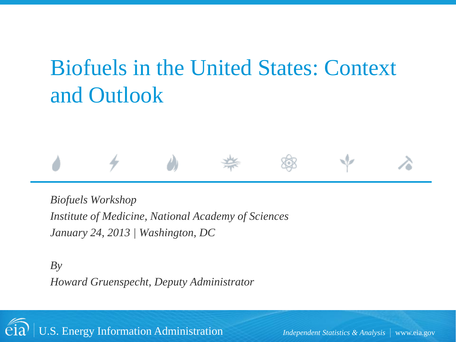# Biofuels in the United States: Context and Outlook

#### *Biofuels Workshop Institute of Medicine, National Academy of Sciences January 24, 2013 | Washington, DC*

*By Howard Gruenspecht, Deputy Administrator*

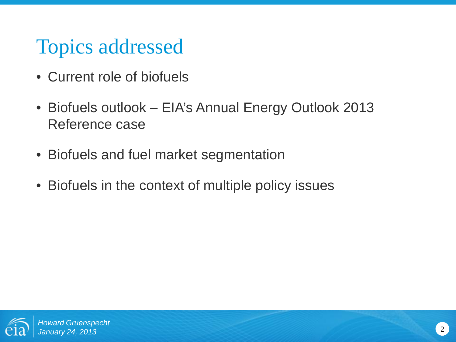## Topics addressed

- Current role of biofuels
- Biofuels outlook EIA's Annual Energy Outlook 2013 Reference case
- Biofuels and fuel market segmentation
- Biofuels in the context of multiple policy issues

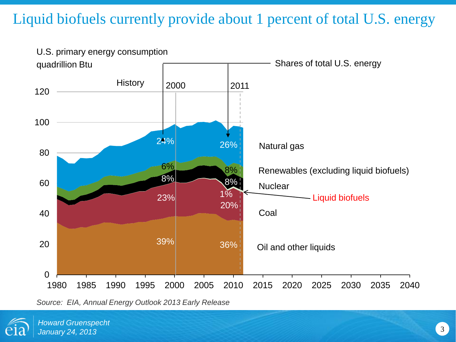#### Liquid biofuels currently provide about 1 percent of total U.S. energy



*Source: EIA, Annual Energy Outlook 2013 Early Release*

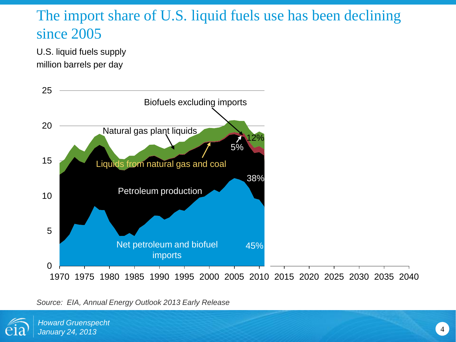#### The import share of U.S. liquid fuels use has been declining since 2005

U.S. liquid fuels supply million barrels per day



#### *Source: EIA, Annual Energy Outlook 2013 Early Release*

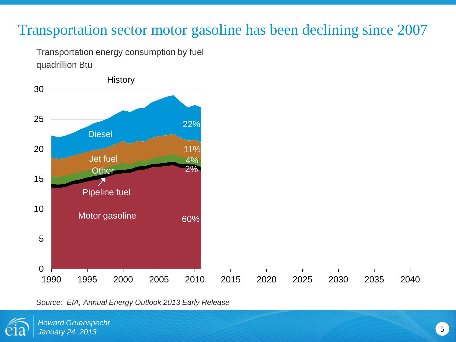#### Transportation sector motor gasoline has been declining since 2007

Transportation energy consumption by fuel quadrillion Btu



*Source: EIA, Annual Energy Outlook 2013 Early Release*

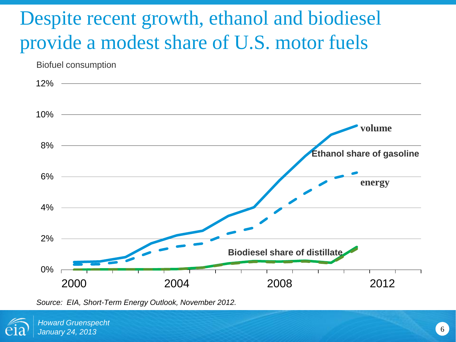## Despite recent growth, ethanol and biodiesel provide a modest share of U.S. motor fuels

Biofuel consumption



*Source: EIA, Short-Term Energy Outlook, November 2012.*

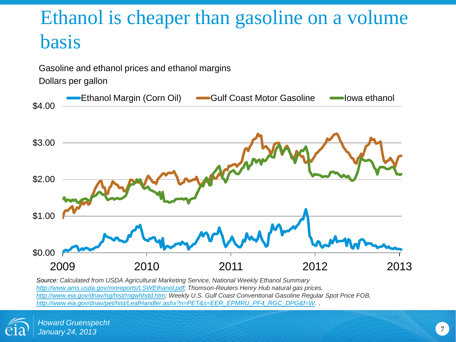## Ethanol is cheaper than gasoline on a volume basis



*Source: Calculated from USDA Agricultural Marketing Service, National Weekly Ethanol Summary [http://www.ams.usda.gov/mnreports/LSWEthanol.pdf;](http://www.ams.usda.gov/mnreports/LSWEthanol.pdf) Thomson-Reuters Henry Hub natural gas prices, [http://www.eia.gov/dnav/ng/hist/rngwhhdd.htm;](http://www.eia.gov/dnav/ng/hist/rngwhhdd.htm) Weekly U.S. Gulf Coast Conventional Gasoline Regular Spot Price FOB, [http://www.eia.gov/dnav/pet/hist/LeafHandler.ashx?n=PET&s=EER\\_EPMRU\\_PF4\\_RGC\\_DPG&f=W](http://www.eia.gov/dnav/pet/hist/LeafHandler.ashx?n=PET&s=EER_EPMRU_PF4_RGC_DPG&f=W). .*

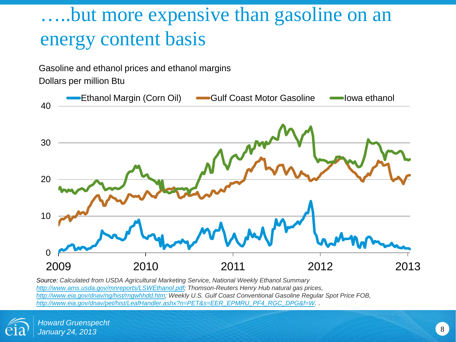### …..but more expensive than gasoline on an energy content basis

Gasoline and ethanol prices and ethanol margins

Dollars per million Btu



*Source: Calculated from USDA Agricultural Marketing Service, National Weekly Ethanol Summary [http://www.ams.usda.gov/mnreports/LSWEthanol.pdf;](http://www.ams.usda.gov/mnreports/LSWEthanol.pdf) Thomson-Reuters Henry Hub natural gas prices, [http://www.eia.gov/dnav/ng/hist/rngwhhdd.htm;](http://www.eia.gov/dnav/ng/hist/rngwhhdd.htm) Weekly U.S. Gulf Coast Conventional Gasoline Regular Spot Price FOB, [http://www.eia.gov/dnav/pet/hist/LeafHandler.ashx?n=PET&s=EER\\_EPMRU\\_PF4\\_RGC\\_DPG&f=W](http://www.eia.gov/dnav/pet/hist/LeafHandler.ashx?n=PET&s=EER_EPMRU_PF4_RGC_DPG&f=W). .*

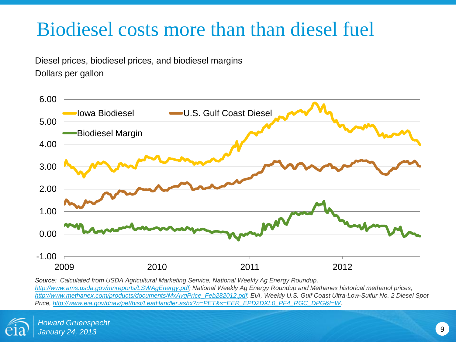### Biodiesel costs more than than diesel fuel

Diesel prices, biodiesel prices, and biodiesel margins Dollars per gallon



*Source: Calculated from USDA Agricultural Marketing Service, National Weekly Ag Energy Roundup, [http://www.ams.usda.gov/mnreports/LSWAgEnergy.pdf;](http://www.ams.usda.gov/mnreports/LSWAgEnergy.pdf) National Weekly Ag Energy Roundup and Methanex historical methanol prices, [http://www.methanex.com/products/documents/MxAvgPrice\\_Feb282012.pdf](http://www.methanex.com/products/documents/MxAvgPrice_Feb282012.pdf). EIA, Weekly U.S. Gulf Coast Ultra-Low-Sulfur No. 2 Diesel Spot Price, [http://www.eia.gov/dnav/pet/hist/LeafHandler.ashx?n=PET&s=EER\\_EPD2DXL0\\_PF4\\_RGC\\_DPG&f=W.](http://www.eia.gov/dnav/pet/hist/LeafHandler.ashx?n=PET&s=EER_EPD2DXL0_PF4_RGC_DPG&f=W)* 

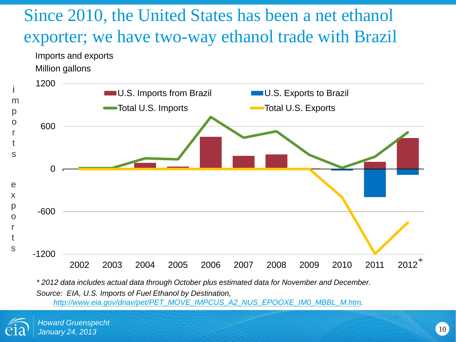### Since 2010, the United States has been a net ethanol exporter; we have two-way ethanol trade with Brazil



*\* 2012 data includes actual data through October plus estimated data for November and December. Source: EIA, U.S. Imports of Fuel Ethanol by Destination, [http://www.eia.gov/dnav/pet/PET\\_MOVE\\_IMPCUS\\_A2\\_NUS\\_EPOOXE\\_IM0\\_MBBL\\_M.htm](http://www.eia.gov/dnav/pet/PET_MOVE_IMPCUS_A2_NUS_EPOOXE_IM0_MBBL_M.htm).* 

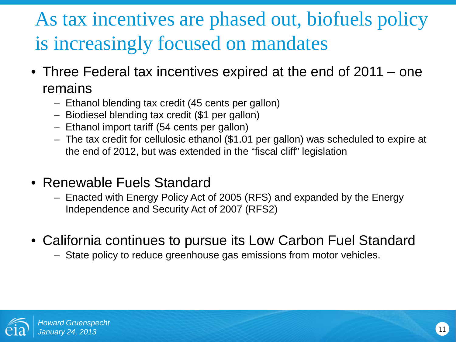## As tax incentives are phased out, biofuels policy is increasingly focused on mandates

- Three Federal tax incentives expired at the end of 2011 one remains
	- Ethanol blending tax credit (45 cents per gallon)
	- Biodiesel blending tax credit (\$1 per gallon)
	- Ethanol import tariff (54 cents per gallon)
	- The tax credit for cellulosic ethanol (\$1.01 per gallon) was scheduled to expire at the end of 2012, but was extended in the "fiscal cliff" legislation
- Renewable Fuels Standard
	- Enacted with Energy Policy Act of 2005 (RFS) and expanded by the Energy Independence and Security Act of 2007 (RFS2)
- California continues to pursue its Low Carbon Fuel Standard
	- State policy to reduce greenhouse gas emissions from motor vehicles.

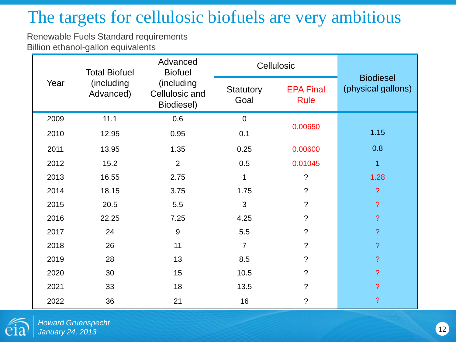### The targets for cellulosic biofuels are very ambitious

Renewable Fuels Standard requirements Billion ethanol-gallon equivalents

| Year | <b>Total Biofuel</b><br>(including<br>Advanced) | Advanced<br><b>Biofuel</b><br>(including<br>Cellulosic and<br>Biodiesel) | Cellulosic               |                                 |                                        |
|------|-------------------------------------------------|--------------------------------------------------------------------------|--------------------------|---------------------------------|----------------------------------------|
|      |                                                 |                                                                          | <b>Statutory</b><br>Goal | <b>EPA Final</b><br><b>Rule</b> | <b>Biodiesel</b><br>(physical gallons) |
| 2009 | 11.1                                            | 0.6                                                                      | $\overline{0}$           |                                 |                                        |
| 2010 | 12.95                                           | 0.95                                                                     | 0.1                      | 0.00650                         | 1.15                                   |
| 2011 | 13.95                                           | 1.35                                                                     | 0.25                     | 0.00600                         | 0.8                                    |
| 2012 | 15.2                                            | $\overline{2}$                                                           | 0.5                      | 0.01045                         | $\mathbf{1}$                           |
| 2013 | 16.55                                           | 2.75                                                                     | 1                        | $\ddot{\cdot}$                  | 1.28                                   |
| 2014 | 18.15                                           | 3.75                                                                     | 1.75                     | $\tilde{?}$                     | $\overline{?}$                         |
| 2015 | 20.5                                            | 5.5                                                                      | 3                        | $\tilde{?}$                     | $\overline{?}$                         |
| 2016 | 22.25                                           | 7.25                                                                     | 4.25                     | $\overline{?}$                  | $\overline{?}$                         |
| 2017 | 24                                              | $9\,$                                                                    | 5.5                      | $\tilde{?}$                     | $\overline{?}$                         |
| 2018 | 26                                              | 11                                                                       | $\overline{7}$           | ?                               | $\overline{?}$                         |
| 2019 | 28                                              | 13                                                                       | 8.5                      | $\tilde{?}$                     | $\overline{?}$                         |
| 2020 | 30                                              | 15                                                                       | 10.5                     | ?                               | $\overline{?}$                         |
| 2021 | 33                                              | 18                                                                       | 13.5                     | ?                               | $\overline{?}$                         |
| 2022 | 36                                              | 21                                                                       | 16                       | $\tilde{?}$                     | $\overline{?}$                         |

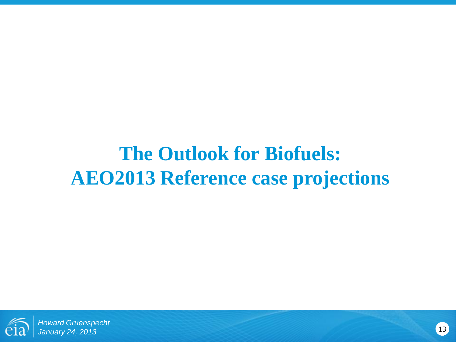### **The Outlook for Biofuels: AEO2013 Reference case projections**



<sup>13</sup> *Howard Gruenspecht January 24, 2013*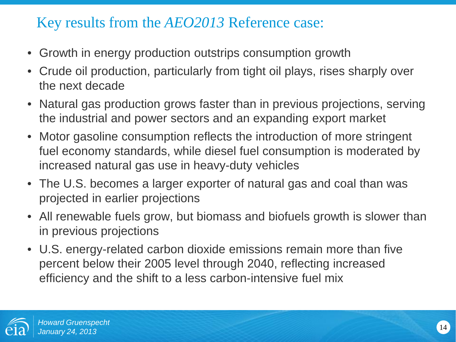#### Key results from the *AEO2013* Reference case:

- Growth in energy production outstrips consumption growth
- Crude oil production, particularly from tight oil plays, rises sharply over the next decade
- Natural gas production grows faster than in previous projections, serving the industrial and power sectors and an expanding export market
- Motor gasoline consumption reflects the introduction of more stringent fuel economy standards, while diesel fuel consumption is moderated by increased natural gas use in heavy-duty vehicles
- The U.S. becomes a larger exporter of natural gas and coal than was projected in earlier projections
- All renewable fuels grow, but biomass and biofuels growth is slower than in previous projections
- U.S. energy-related carbon dioxide emissions remain more than five percent below their 2005 level through 2040, reflecting increased efficiency and the shift to a less carbon-intensive fuel mix

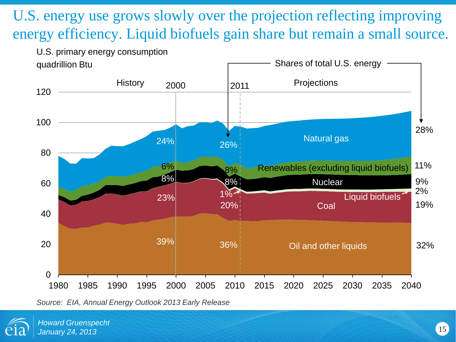U.S. energy use grows slowly over the projection reflecting improving energy efficiency. Liquid biofuels gain share but remain a small source.



*Source: EIA, Annual Energy Outlook 2013 Early Release*

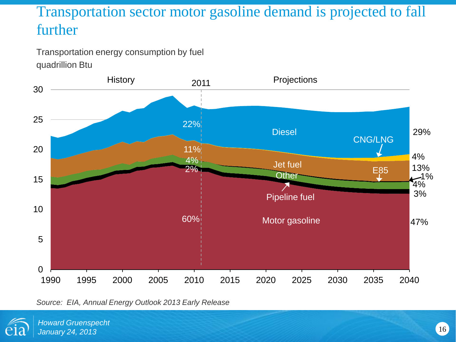#### Transportation sector motor gasoline demand is projected to fall further

Transportation energy consumption by fuel quadrillion Btu



*Source: EIA, Annual Energy Outlook 2013 Early Release*

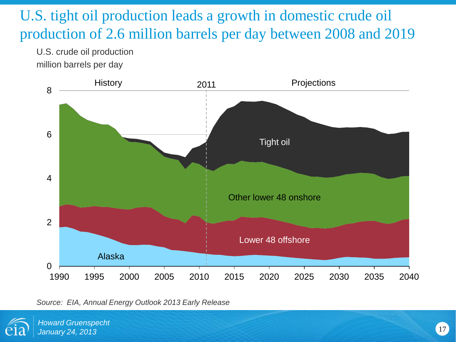#### U.S. tight oil production leads a growth in domestic crude oil production of 2.6 million barrels per day between 2008 and 2019

U.S. crude oil production million barrels per day



*Source: EIA, Annual Energy Outlook 2013 Early Release*

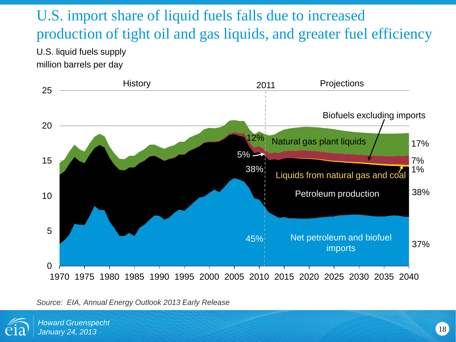### U.S. import share of liquid fuels falls due to increased production of tight oil and gas liquids, and greater fuel efficiency

U.S. liquid fuels supply million barrels per day



#### *Source: EIA, Annual Energy Outlook 2013 Early Release*

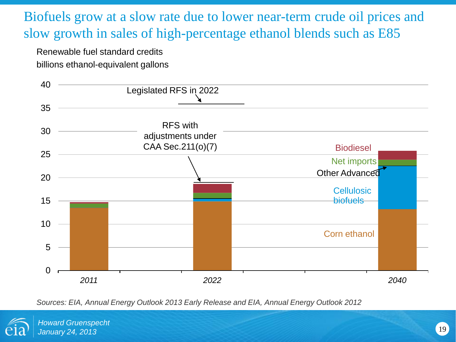#### Biofuels grow at a slow rate due to lower near-term crude oil prices and slow growth in sales of high-percentage ethanol blends such as E85

Renewable fuel standard credits billions ethanol-equivalent gallons



*Sources: EIA, Annual Energy Outlook 2013 Early Release and EIA, Annual Energy Outlook 2012*

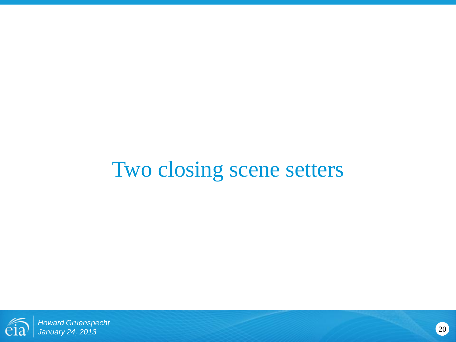# Two closing scene setters



<sup>20</sup> *Howard Gruenspecht January 24, 2013*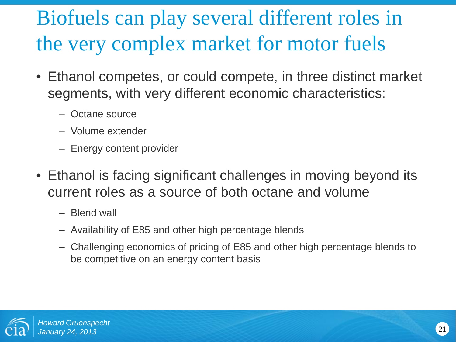# Biofuels can play several different roles in the very complex market for motor fuels

- Ethanol competes, or could compete, in three distinct market segments, with very different economic characteristics:
	- Octane source
	- Volume extender
	- Energy content provider
- Ethanol is facing significant challenges in moving beyond its current roles as a source of both octane and volume
	- Blend wall
	- Availability of E85 and other high percentage blends
	- Challenging economics of pricing of E85 and other high percentage blends to be competitive on an energy content basis

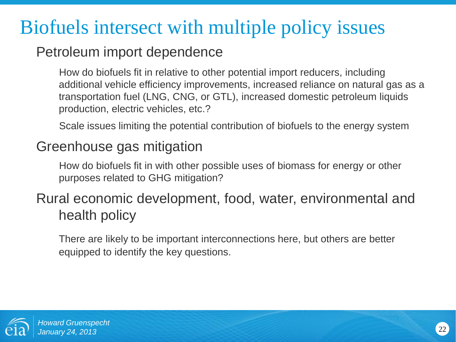### Biofuels intersect with multiple policy issues

#### Petroleum import dependence

How do biofuels fit in relative to other potential import reducers, including additional vehicle efficiency improvements, increased reliance on natural gas as a transportation fuel (LNG, CNG, or GTL), increased domestic petroleum liquids production, electric vehicles, etc.?

Scale issues limiting the potential contribution of biofuels to the energy system

#### Greenhouse gas mitigation

How do biofuels fit in with other possible uses of biomass for energy or other purposes related to GHG mitigation?

#### Rural economic development, food, water, environmental and health policy

There are likely to be important interconnections here, but others are better equipped to identify the key questions.